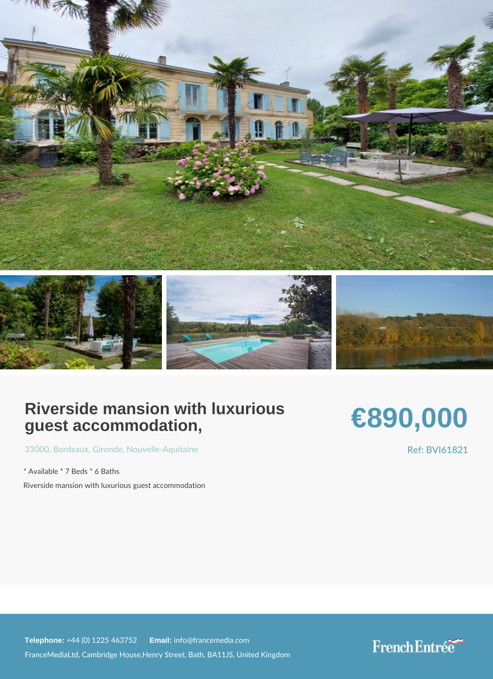## Riverside mansion with luxurious guest accommodation,

## €890,000

[3300](https://www.frenchentree.com/property-for-sale/property-for-sale-france/33000-xx-bordeaux-xx-gironde-xx-nouvelle-aquitaine)[, Borde](https://www.frenchentree.com/property-for-sale/property-for-sale-france/33000-xx-bordeaux-xx-gironde-xx-nouvelle-aquitaine)a Gixron[, Nouvelle-Aq](https://www.frenchentree.com/property-for-sale/property-for-sale-france/nouvelle-aquitaine)uitaine

\* Available \* 7 Beds \* 6 Baths Riverside mansion with luxurious guest accommodation Ref: BVI61821

Telephone:  $+44$  (0) 1225 46 Ematilian fo@francemedia.com FranceMediaLtd, Cambridge House,Henry Street, Bath, BA11JS, United Kingdom